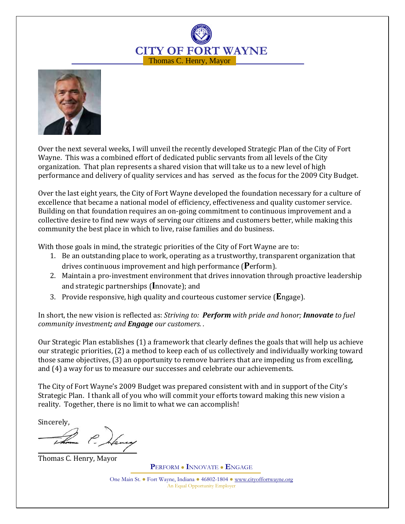



Over the next several weeks, I will unveil the recently developed Strategic Plan of the City of Fort Wayne. This was a combined effort of dedicated public servants from all levels of the City organization. That plan represents a shared vision that will take us to a new level of high performance and delivery of quality services and has served as the focus for the 2009 City Budget.

Over the last eight years, the City of Fort Wayne developed the foundation necessary for a culture of excellence that became a national model of efficiency, effectiveness and quality customer service. Building on that foundation requires an on-going commitment to continuous improvement and a collective desire to find new ways of serving our citizens and customers better, while making this community the best place in which to live, raise families and do business.

With those goals in mind, the strategic priorities of the City of Fort Wayne are to:

- 1. Be an outstanding place to work, operating as a trustworthy, transparent organization that drives continuous improvement and high performance (Perform).
- 2. Maintain a pro-investment environment that drives innovation through proactive leadership and strategic partnerships (Innovate); and
- 3. Provide responsive, high quality and courteous customer service ( $\mathbf{E}$ ngage).

In short, the new vision is reflected as: Striving to: Perform with pride and honor; Innovate to fuel community investment; and **Engage** our customers..

Our Strategic Plan establishes (1) a framework that clearly defines the goals that will help us achieve our strategic priorities, (2) a method to keep each of us collectively and individually working toward those same objectives, (3) an opportunity to remove barriers that are impeding us from excelling, and (4) a way for us to measure our successes and celebrate our achievements.

The City of Fort Wayne's 2009 Budget was prepared consistent with and in support of the City's Strategic Plan. I thank all of you who will commit your efforts toward making this new vision a reality. Together, there is no limit to what we can accomplish!

Sincerely,

Thomas C. Henry, Mayor

PERFORM ● INNOVATE ● ENGAGE

One Main St. ● Fort Wayne, Indiana ● 46802-1804 ● www.cityoffortwayne.org An Equal Opportunity Employer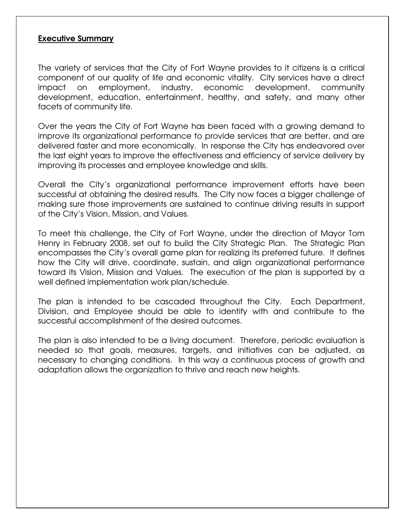#### Executive Summary

The variety of services that the City of Fort Wayne provides to it citizens is a critical component of our quality of life and economic vitality. City services have a direct impact on employment, industry, economic development, community development, education, entertainment, healthy, and safety, and many other facets of community life.

Over the years the City of Fort Wayne has been faced with a growing demand to improve its organizational performance to provide services that are better, and are delivered faster and more economically. In response the City has endeavored over the last eight years to improve the effectiveness and efficiency of service delivery by improving its processes and employee knowledge and skills.

Overall the City's organizational performance improvement efforts have been successful at obtaining the desired results. The City now faces a bigger challenge of making sure those improvements are sustained to continue driving results in support of the City's Vision, Mission, and Values.

To meet this challenge, the City of Fort Wayne, under the direction of Mayor Tom Henry in February 2008, set out to build the City Strategic Plan. The Strategic Plan encompasses the City's overall game plan for realizing its preferred future. It defines how the City will drive, coordinate, sustain, and align organizational performance toward its Vision, Mission and Values. The execution of the plan is supported by a well defined implementation work plan/schedule.

The plan is intended to be cascaded throughout the City. Each Department, Division, and Employee should be able to identify with and contribute to the successful accomplishment of the desired outcomes.

The plan is also intended to be a living document. Therefore, periodic evaluation is needed so that goals, measures, targets, and initiatives can be adjusted, as necessary to changing conditions. In this way a continuous process of growth and adaptation allows the organization to thrive and reach new heights.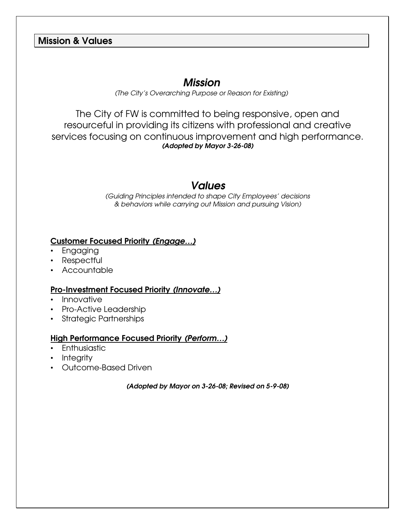# Mission & Values

# Mission

(The City's Overarching Purpose or Reason for Existing)

The City of FW is committed to being responsive, open and resourceful in providing its citizens with professional and creative services focusing on continuous improvement and high performance. (Adopted by Mayor 3-26-08)

# Values

(Guiding Principles intended to shape City Employees' decisions & behaviors while carrying out Mission and pursuing Vision)

## Customer Focused Priority (Engage…)

- Engaging
- Respectful
- Accountable

#### Pro-Investment Focused Priority (Innovate…)

- Innovative
- Pro-Active Leadership
- Strategic Partnerships

#### High Performance Focused Priority (Perform…)

- Enthusiastic
- Integrity
- Outcome-Based Driven

(Adopted by Mayor on 3-26-08; Revised on 5-9-08)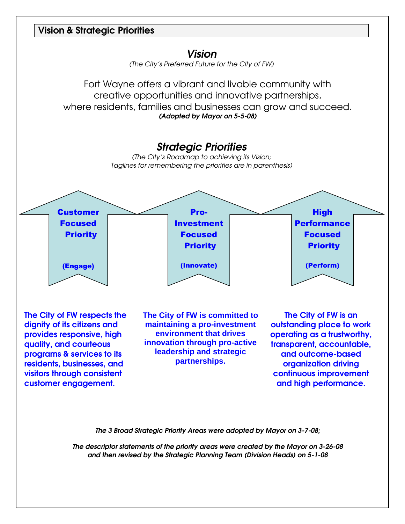



(The City's Preferred Future for the City of FW)

Fort Wayne offers a vibrant and livable community with creative opportunities and innovative partnerships, where residents, families and businesses can grow and succeed. (Adopted by Mayor on 5-5-08)



The City of FW respects the dignity of its citizens and provides responsive, high quality, and courteous programs & services to its residents, businesses, and visitors through consistent customer engagement.

**The City of** F**W is committed to maintaining a pro-investment environment that drives innovation through pro-active leadership and strategic partnerships.** 

The City of FW is an outstanding place to work operating as a trustworthy, transparent, accountable, and outcome-based organization driving continuous improvement and high performance.

The 3 Broad Strategic Priority Areas were adopted by Mayor on 3-7-08;

The descriptor statements of the priority areas were created by the Mayor on 3-26-08 and then revised by the Strategic Planning Team (Division Heads) on 5-1-08